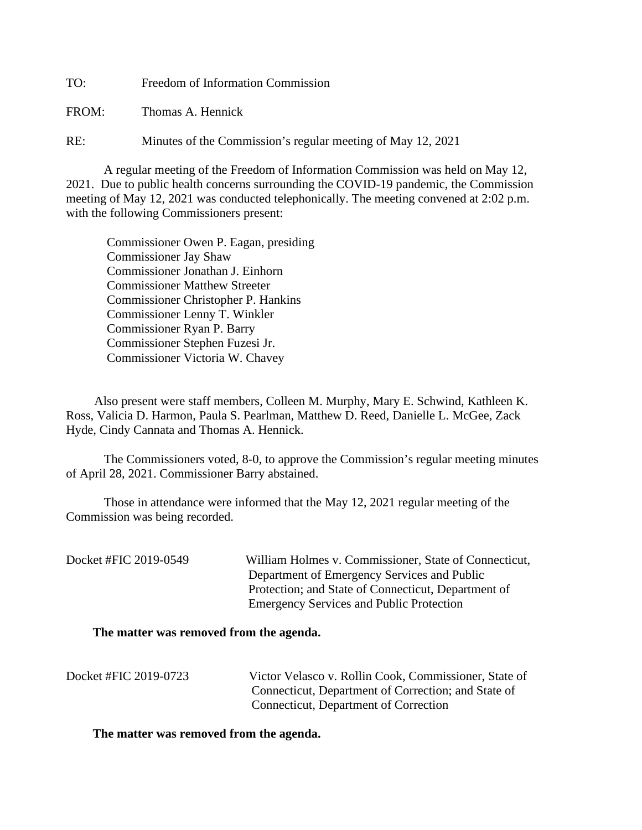TO: Freedom of Information Commission

FROM: Thomas A. Hennick

RE: Minutes of the Commission's regular meeting of May 12, 2021

A regular meeting of the Freedom of Information Commission was held on May 12, 2021. Due to public health concerns surrounding the COVID-19 pandemic, the Commission meeting of May 12, 2021 was conducted telephonically. The meeting convened at 2:02 p.m. with the following Commissioners present:

 Commissioner Owen P. Eagan, presiding Commissioner Jay Shaw Commissioner Jonathan J. Einhorn Commissioner Matthew Streeter Commissioner Christopher P. Hankins Commissioner Lenny T. Winkler Commissioner Ryan P. Barry Commissioner Stephen Fuzesi Jr. Commissioner Victoria W. Chavey

 Also present were staff members, Colleen M. Murphy, Mary E. Schwind, Kathleen K. Ross, Valicia D. Harmon, Paula S. Pearlman, Matthew D. Reed, Danielle L. McGee, Zack Hyde, Cindy Cannata and Thomas A. Hennick.

The Commissioners voted, 8-0, to approve the Commission's regular meeting minutes of April 28, 2021. Commissioner Barry abstained.

 Those in attendance were informed that the May 12, 2021 regular meeting of the Commission was being recorded.

Docket #FIC 2019-0549 William Holmes v. Commissioner, State of Connecticut, Department of Emergency Services and Public Protection; and State of Connecticut, Department of Emergency Services and Public Protection

## **The matter was removed from the agenda.**

| Docket #FIC 2019-0723 | Victor Velasco v. Rollin Cook, Commissioner, State of |
|-----------------------|-------------------------------------------------------|
|                       | Connecticut, Department of Correction; and State of   |
|                       | Connecticut, Department of Correction                 |

## **The matter was removed from the agenda.**